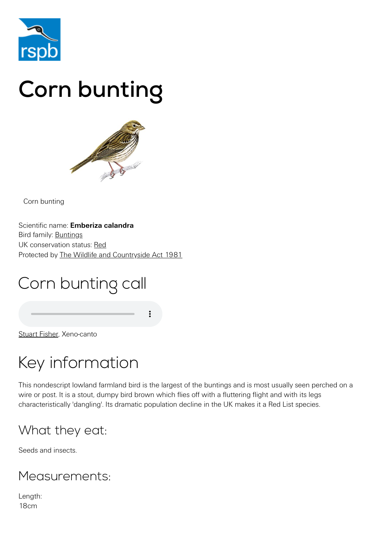

# Corn bunting



Corn bunting

Scientific name: **Emberiza calandra** Bird family: [Buntings](https://www.rspb.org.uk/birds-and-wildlife/wildlife-guides/bird-a-z/bunting-family/) UK conservation status: [Red](https://www.rspb.org.uk/birds-and-wildlife/wildlife-guides/uk-conservation-status-explained/) Protected by [The Wildlife and Countryside Act 1981](https://www.rspb.org.uk/birds-and-wildlife/advice/wildlife-and-the-law/wildlife-and-countryside-act/)

# Corn bunting call

[Stuart Fisher](http://www.xeno-canto.org/25929), Xeno-canto

# Key information

This nondescript lowland farmland bird is the largest of the buntings and is most usually seen perched on a wire or post. It is a stout, dumpy bird brown which flies off with a fluttering flight and with its legs characteristically 'dangling'. Its dramatic population decline in the UK makes it a Red List species.

#### What they eat:

Seeds and insects.

#### Measurements:

Length: 18cm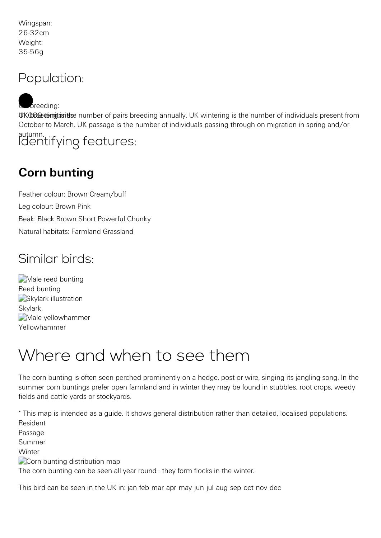Wingspan: 26-32cm Weight: 35-56g

#### Population:

UK breed the number of pairs breeding annually. UK wintering is the number of individuals present from October to March. UK passage is the number of individuals passing through on migration in spring and/or autumn. breeding: Identifying features:

#### **Corn bunting**

Feather colour: Brown Cream/buff Leg colour: Brown Pink Beak: Black Brown Short Powerful Chunky Natural habitats: Farmland Grassland

#### Similar birds:

[Male reed bunting](https://www.rspb.org.uk/birds-and-wildlife/wildlife-guides/bird-a-z/reed-bunting/) Reed bunting [Skylark illustration](https://www.rspb.org.uk/birds-and-wildlife/wildlife-guides/bird-a-z/skylark/) Skylark Male vellowhammer Yellowhammer

# Where and when to see them

The corn bunting is often seen perched prominently on a hedge, post or wire, singing its jangling song. In the summer corn buntings prefer open farmland and in winter they may be found in stubbles, root crops, weedy fields and cattle yards or stockyards.

\* This map is intended as a guide. It shows general distribution rather than detailed, localised populations. Resident

Passage

Summer

**Winter** 

Corn bunting distribution map

The corn bunting can be seen all year round - they form flocks in the winter.

This bird can be seen in the UK in: jan feb mar apr may jun jul aug sep oct nov dec